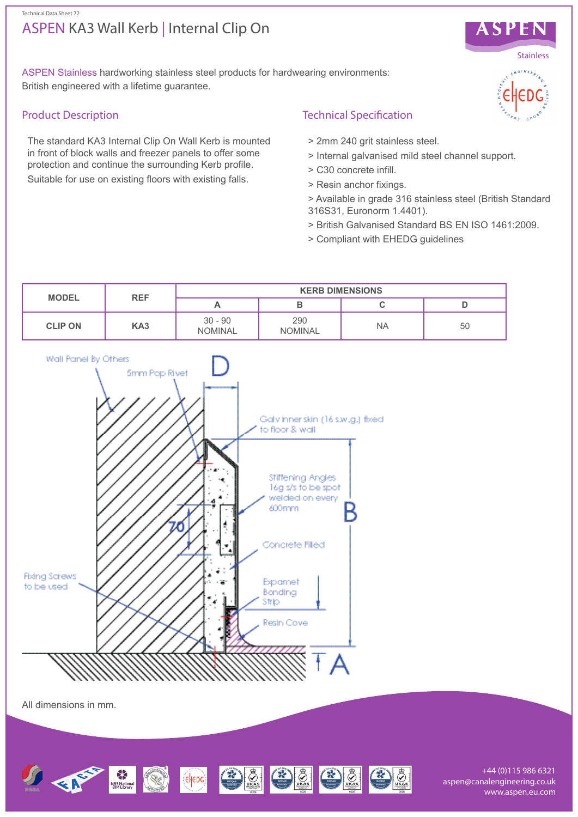#### Technical Data Sheet 72

# ASPEN KA3 Wall Kerb | Internal Clip On



ASPEN Stainless hardworking stainless steel products for hardwearing environments: British engineered with a lifetime guarantee.

## Product Description

The standard KA3 Internal Clip On Wall Kerb is mounted in front of block walls and freezer panels to offer some protection and continue the surrounding Kerb profile. Suitable for use on existing floors with existing falls.

## Technical Specification

- > 2mm 240 grit stainless steel.
- > Internal galvanised mild steel channel support.
- > C30 concrete infill.
- > Resin anchor fixings.
- > Available in grade 316 stainless steel (British Standard 316S31, Euronorm 1.4401).
- > British Galvanised Standard BS EN ISO 1461:2009.
- > Compliant with EHEDG guidelines





All dimensions in mm.



+44 (0)115 986 6321 aspen@canalengineering.co.uk www.aspen.eu.com